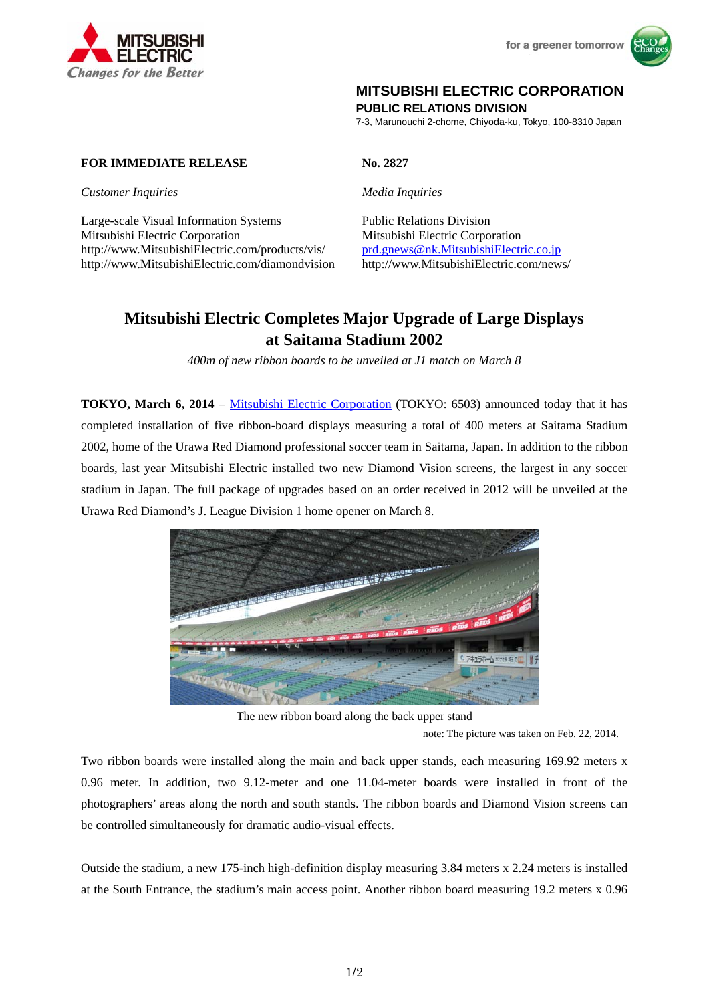



## **MITSUBISHI ELECTRIC CORPORATION**

**PUBLIC RELATIONS DIVISION** 

7-3, Marunouchi 2-chome, Chiyoda-ku, Tokyo, 100-8310 Japan

## **FOR IMMEDIATE RELEASE No. 2827**

*Customer Inquiries Media Inquiries*

Large-scale Visual Information Systems Public Relations Division Mitsubishi Electric Corporation Mitsubishi Electric Corporation http://www.MitsubishiElectric.com/products/vis/ prd.gnews@nk.MitsubishiElectric.co.jp http://www.MitsubishiElectric.com/diamondvision http://www.MitsubishiElectric.com/news/

# **Mitsubishi Electric Completes Major Upgrade of Large Displays at Saitama Stadium 2002**

*400m of new ribbon boards to be unveiled at J1 match on March 8* 

**TOKYO, March 6, 2014** – Mitsubishi Electric Corporation (TOKYO: 6503) announced today that it has completed installation of five ribbon-board displays measuring a total of 400 meters at Saitama Stadium 2002, home of the Urawa Red Diamond professional soccer team in Saitama, Japan. In addition to the ribbon boards, last year Mitsubishi Electric installed two new Diamond Vision screens, the largest in any soccer stadium in Japan. The full package of upgrades based on an order received in 2012 will be unveiled at the Urawa Red Diamond's J. League Division 1 home opener on March 8.



The new ribbon board along the back upper stand

note: The picture was taken on Feb. 22, 2014.

Two ribbon boards were installed along the main and back upper stands, each measuring 169.92 meters x 0.96 meter. In addition, two 9.12-meter and one 11.04-meter boards were installed in front of the photographers' areas along the north and south stands. The ribbon boards and Diamond Vision screens can be controlled simultaneously for dramatic audio-visual effects.

Outside the stadium, a new 175-inch high-definition display measuring 3.84 meters x 2.24 meters is installed at the South Entrance, the stadium's main access point. Another ribbon board measuring 19.2 meters x 0.96